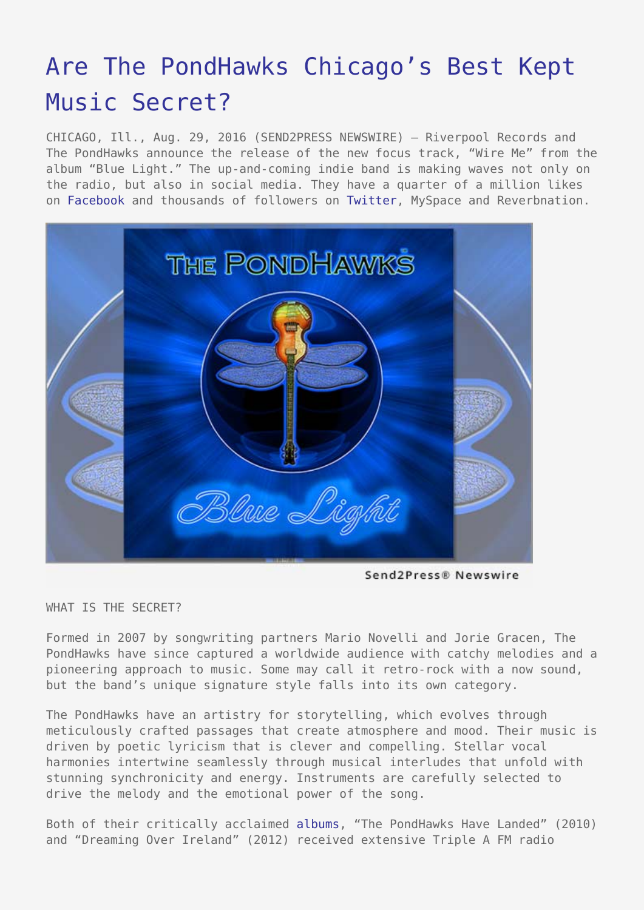## [Are The PondHawks Chicago's Best Kept](https://www.send2press.com/wire/are-the-pondhawks-chicagos-best-kept-music-secret/) [Music Secret?](https://www.send2press.com/wire/are-the-pondhawks-chicagos-best-kept-music-secret/)

CHICAGO, Ill., Aug. 29, 2016 (SEND2PRESS NEWSWIRE) — Riverpool Records and The PondHawks announce the release of the new focus track, "Wire Me" from the album "Blue Light." The up-and-coming indie band is making waves not only on the radio, but also in social media. They have a quarter of a million likes on [Facebook](http://facebook.com/thepondhawks) and thousands of followers on [Twitter,](http://twitter.com/ThePondHawks) MySpace and Reverbnation.



Send2Press® Newswire

WHAT IS THE SECRET?

Formed in 2007 by songwriting partners Mario Novelli and Jorie Gracen, The PondHawks have since captured a worldwide audience with catchy melodies and a pioneering approach to music. Some may call it retro-rock with a now sound, but the band's unique signature style falls into its own category.

The PondHawks have an artistry for storytelling, which evolves through meticulously crafted passages that create atmosphere and mood. Their music is driven by poetic lyricism that is clever and compelling. Stellar vocal harmonies intertwine seamlessly through musical interludes that unfold with stunning synchronicity and energy. Instruments are carefully selected to drive the melody and the emotional power of the song.

Both of their critically acclaimed [albums](http://www.pondhawksmusic.com), "The PondHawks Have Landed" (2010) and "Dreaming Over Ireland" (2012) received extensive Triple A FM radio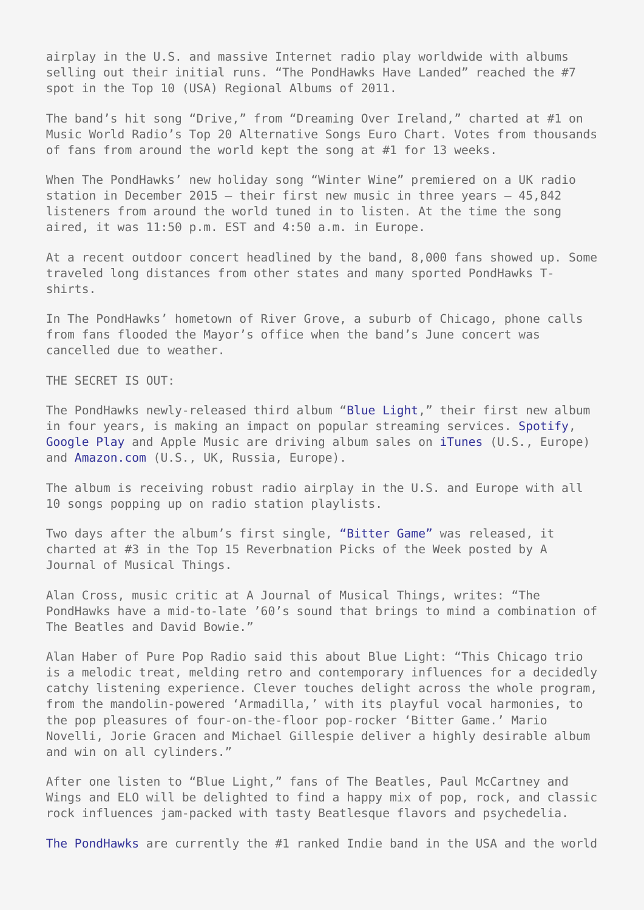airplay in the U.S. and massive Internet radio play worldwide with albums selling out their initial runs. "The PondHawks Have Landed" reached the #7 spot in the Top 10 (USA) Regional Albums of 2011.

The band's hit song "Drive," from "Dreaming Over Ireland," charted at #1 on Music World Radio's Top 20 Alternative Songs Euro Chart. Votes from thousands of fans from around the world kept the song at #1 for 13 weeks.

When The PondHawks' new holiday song "Winter Wine" premiered on a UK radio station in December 2015 — their first new music in three years — 45,842 listeners from around the world tuned in to listen. At the time the song aired, it was 11:50 p.m. EST and 4:50 a.m. in Europe.

At a recent outdoor concert headlined by the band, 8,000 fans showed up. Some traveled long distances from other states and many sported PondHawks Tshirts.

In The PondHawks' hometown of River Grove, a suburb of Chicago, phone calls from fans flooded the Mayor's office when the band's June concert was cancelled due to weather.

THE SECRET IS OUT:

The PondHawks newly-released third album "[Blue Light,](http://www.pondhawksmusic.com)" their first new album in four years, is making an impact on popular streaming services. [Spotify,](https://play.spotify.com/album/795vKEyovG0UeYdVEH6PGR?play=true&utm_source=open.spotify.com&utm_medium=open) [Google Play](https://play.google.com/store/music/album/The_Pondhawks_Blue_Light?id=Bfndjpjtqnicratrgcuvx3ek2oe) and Apple Music are driving album sales on [iTunes](https://itunes.apple.com/us/album/blue-light/id1124221127) (U.S., Europe) and [Amazon.com](http://tinyurl.com/h3mhm8a) (U.S., UK, Russia, Europe).

The album is receiving robust radio airplay in the U.S. and Europe with all 10 songs popping up on radio station playlists.

Two days after the album's first single, ["Bitter Game"](https://youtu.be/chG8YVyUp0c) was released, it charted at #3 in the Top 15 Reverbnation Picks of the Week posted by A Journal of Musical Things.

Alan Cross, music critic at A Journal of Musical Things, writes: "The PondHawks have a mid-to-late '60's sound that brings to mind a combination of The Beatles and David Bowie."

Alan Haber of Pure Pop Radio said this about Blue Light: "This Chicago trio is a melodic treat, melding retro and contemporary influences for a decidedly catchy listening experience. Clever touches delight across the whole program, from the mandolin-powered 'Armadilla,' with its playful vocal harmonies, to the pop pleasures of four-on-the-floor pop-rocker 'Bitter Game.' Mario Novelli, Jorie Gracen and Michael Gillespie deliver a highly desirable album and win on all cylinders."

After one listen to "Blue Light," fans of The Beatles, Paul McCartney and Wings and ELO will be delighted to find a happy mix of pop, rock, and classic rock influences jam-packed with tasty Beatlesque flavors and psychedelia.

[The PondHawks](http://www.thepondhawks.com) are currently the #1 ranked Indie band in the USA and the world